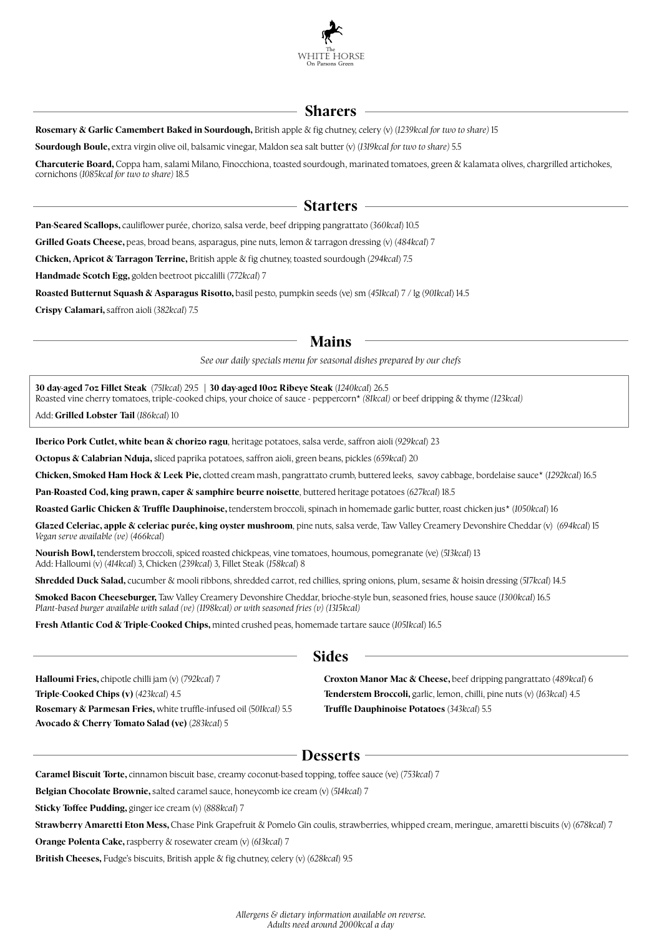

## **Sharers**

**Rosemary & Garlic Camembert Baked in Sourdough,** British apple & fig chutney, celery (v) (1239kcal for two to share) 15

**Sourdough Boule,** extra virgin olive oil, balsamic vinegar, Maldon sea salt butter (v) (*1319kcal for two to share)* 5.5

**Charcuterie Board,** Coppa ham, salami Milano, Finocchiona, toasted sourdough, marinated tomatoes, green & kalamata olives, chargrilled ar tichokes, cornichons (*1085kcal for two to share)* 18.5

## **Starters**

**Pan-Seared Scallops,** cauliflower purée, chorizo, salsa verde, beef dripping pangrattato (*360kcal*) 10.5

**Grilled Goats Cheese,** peas, broad beans, asparagus, pine nuts, lemon & tarragon dressing (v) (*484kcal*) 7

**Chicken, Apricot & Tarragon Terrine,** British apple & fig chutney, toasted sourdough (294kcal) 7.5

**Handmade Scotch Egg,** golden beetroot piccalilli (*772kcal*) 7

**Roasted Butternut Squash & Asparagus Risotto,** basil pesto, pumpkin seeds (ve) sm (*451kcal*) 7 / lg (*901kcal*) 14.5

**Crispy Calamari,** saffron aioli (*382kcal*) 7.5

### **Mains**

*See our daily specials menu for seasonal dishes prepared by our chefs*

**30 day-aged 7oz Fillet Steak** (*751kcal*) 29.5 **| 30 day-aged 10oz Ribeye Steak** (*1240kcal*) 26.5 Roasted vine cherry tomatoes, triple-cooked chips, your choice of sauce - peppercorn\* *(81kcal)* or beef dripping & thyme *(123kcal)*

Add: **Grilled Lobster Tail** (*186kcal*) 10

**Iberico Pork Cutlet, white bean & chorizo ragu**, heritage potatoes, salsa verde, saffron aioli (*929kcal*) 23

**Octopus & Calabrian Nduja,** sliced paprika potatoes, saffron aioli, green beans, pickles (659kcal) 20

**Chicken, Smoked Ham Hock & Leek Pie,** clotted cream mash, pangrattato crumb, buttered leeks, savoy cabbage, bordelaise sauce\* (*1292kcal*) 16.5

**Pan-Roasted Cod, king prawn, caper & samphire beurre noisette**, buttered heritage potatoes (*627kcal*) 18.5

**Roasted Garlic Chicken & Truffle Dauphinoise,** tenderstem broccoli, spinach in homemade garlic butter, roast chicken jus\* (*1050kcal*) 16

**Glazed Celeriac, apple & celeriac purée, king oyster mushroom**, pine nuts, salsa verde, Taw Valley Creamery Devonshire Cheddar (v) (*694kcal*) 15 *Vegan serve available (ve)* (*466kcal*)

**Nourish Bowl,** tenderstem broccoli, spiced roasted chickpeas, vine tomatoes, houmous, pomegranate (ve) (*513kcal*) 13 Add: Halloumi (v) (*414kcal*) 3, Chicken (*239kcal*) 3, Fillet Steak (*158kcal*) 8

**Shredded Duck Salad,** cucumber & mooli ribbons, shredded carrot, red chillies, spring onions, plum, sesame & hoisin dressing (*517kcal*) 14.5

**Smoked Bacon Cheeseburger,** Taw Valley Creamery Devonshire Cheddar, brioche-style bun, seasoned fries, house sauce (1300kcal) 16.5 *Plant-based burger available with salad (ve) (1198kcal) or with seasoned fries (v) (1315kcal)*

**Fresh Atlantic Cod & Triple-Cooked Chips,** minted crushed peas, homemade tartare sauce (*1051kcal*) 16.5

#### **Halloumi Fries,** chipotle chilli jam (v) (*792kcal*) 7 **Triple-Cooked Chips (v)** (*423kcal*) 4.5 **Rosemary & Parmesan Fries,** white truffle-infused oil (5*01kcal)* 5.5 **Avocado & Cherry Tomato Salad (ve)** (*283kcal*) 5

**Croxton Manor Mac & Cheese,** beef dripping pangrattato (*489kcal*) 6 **Tenderstem Broccoli,** garlic, lemon, chilli, pine nuts (v) (*163kcal*) 4.5 **Truffle Dauphinoise Potatoes** (*343kcal*) 5.5

# **Desserts**

**Sides**

**Caramel Biscuit Torte,** cinnamon biscuit base, creamy coconut-based topping, toffee sauce (ve) (*753kcal*) 7

**Belgian Chocolate Brownie,** salted caramel sauce, honeycomb ice cream (v) (*514kcal*) 7

**Sticky Toffee Pudding,** ginger ice cream (v) (*888kcal*) 7

**Strawberry Amaretti Eton Mess,** Chase Pink Grapefruit & Pomelo Gin coulis, strawberries, whipped cream, meringue, amaretti biscuits (v) (678kcal) 7

**Orange Polenta Cake,** raspberry & rosewater cream (v) (*613kcal*) 7

**British Cheeses, Fudge's biscuits, British apple & fig chutney, celery (v) (628kcal) 9.5**